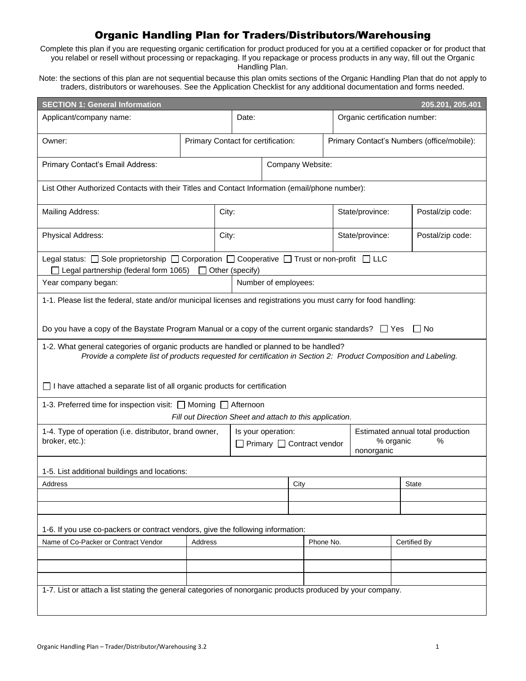# Organic Handling Plan for Traders/Distributors/Warehousing

Complete this plan if you are requesting organic certification for product produced for you at a certified copacker or for product that you relabel or resell without processing or repackaging. If you repackage or process products in any way, fill out the Organic Handling Plan.

Note: the sections of this plan are not sequential because this plan omits sections of the Organic Handling Plan that do not apply to traders, distributors or warehouses. See the Application Checklist for any additional documentation and forms needed.

| <b>SECTION 1: General Information</b>                                                                                                                                                                     |                                                                                 |                                                                                                |                                                 |           |                                            |                                                        | 205.201, 205.401 |  |
|-----------------------------------------------------------------------------------------------------------------------------------------------------------------------------------------------------------|---------------------------------------------------------------------------------|------------------------------------------------------------------------------------------------|-------------------------------------------------|-----------|--------------------------------------------|--------------------------------------------------------|------------------|--|
| Applicant/company name:                                                                                                                                                                                   | Date:                                                                           |                                                                                                |                                                 |           | Organic certification number:              |                                                        |                  |  |
| Owner:                                                                                                                                                                                                    | Primary Contact for certification:                                              |                                                                                                |                                                 |           | Primary Contact's Numbers (office/mobile): |                                                        |                  |  |
| Primary Contact's Email Address:                                                                                                                                                                          |                                                                                 |                                                                                                | Company Website:                                |           |                                            |                                                        |                  |  |
|                                                                                                                                                                                                           |                                                                                 | List Other Authorized Contacts with their Titles and Contact Information (email/phone number): |                                                 |           |                                            |                                                        |                  |  |
| City:<br>Mailing Address:                                                                                                                                                                                 |                                                                                 |                                                                                                |                                                 |           | State/province:                            |                                                        | Postal/zip code: |  |
| Physical Address:                                                                                                                                                                                         |                                                                                 |                                                                                                | City:                                           |           |                                            | State/province:                                        | Postal/zip code: |  |
| Legal status: □ Sole proprietorship □ Corporation □ Cooperative □ Trust or non-profit □ LLC<br>Legal partnership (federal form 1065)<br>Other (specify)                                                   |                                                                                 |                                                                                                |                                                 |           |                                            |                                                        |                  |  |
| Year company began:                                                                                                                                                                                       |                                                                                 |                                                                                                | Number of employees:                            |           |                                            |                                                        |                  |  |
| 1-1. Please list the federal, state and/or municipal licenses and registrations you must carry for food handling:                                                                                         |                                                                                 |                                                                                                |                                                 |           |                                            |                                                        |                  |  |
| Do you have a copy of the Baystate Program Manual or a copy of the current organic standards? $\Box$ Yes                                                                                                  |                                                                                 |                                                                                                |                                                 |           |                                            | $\Box$ No                                              |                  |  |
|                                                                                                                                                                                                           |                                                                                 |                                                                                                |                                                 |           |                                            |                                                        |                  |  |
| 1-2. What general categories of organic products are handled or planned to be handled?<br>Provide a complete list of products requested for certification in Section 2: Product Composition and Labeling. |                                                                                 |                                                                                                |                                                 |           |                                            |                                                        |                  |  |
| $\Box$ I have attached a separate list of all organic products for certification                                                                                                                          |                                                                                 |                                                                                                |                                                 |           |                                            |                                                        |                  |  |
| 1-3. Preferred time for inspection visit: □ Morning □ Afternoon                                                                                                                                           |                                                                                 |                                                                                                |                                                 |           |                                            |                                                        |                  |  |
| Fill out Direction Sheet and attach to this application.                                                                                                                                                  |                                                                                 |                                                                                                |                                                 |           |                                            |                                                        |                  |  |
| 1-4. Type of operation (i.e. distributor, brand owner,<br>broker, etc.):                                                                                                                                  |                                                                                 |                                                                                                | Is your operation:<br>Primary □ Contract vendor |           |                                            | Estimated annual total production<br>$\%$<br>% organic |                  |  |
|                                                                                                                                                                                                           |                                                                                 |                                                                                                |                                                 |           |                                            | nonorganic                                             |                  |  |
| 1-5. List additional buildings and locations:                                                                                                                                                             |                                                                                 |                                                                                                |                                                 |           |                                            |                                                        |                  |  |
| Address                                                                                                                                                                                                   |                                                                                 |                                                                                                | City                                            |           |                                            |                                                        | State            |  |
|                                                                                                                                                                                                           |                                                                                 |                                                                                                |                                                 |           |                                            |                                                        |                  |  |
|                                                                                                                                                                                                           |                                                                                 |                                                                                                |                                                 |           |                                            |                                                        |                  |  |
|                                                                                                                                                                                                           | 1-6. If you use co-packers or contract vendors, give the following information: |                                                                                                |                                                 |           |                                            |                                                        |                  |  |
| Name of Co-Packer or Contract Vendor                                                                                                                                                                      | Address                                                                         |                                                                                                |                                                 | Phone No. |                                            | Certified By                                           |                  |  |
|                                                                                                                                                                                                           |                                                                                 |                                                                                                |                                                 |           |                                            |                                                        |                  |  |
|                                                                                                                                                                                                           |                                                                                 |                                                                                                |                                                 |           |                                            |                                                        |                  |  |
| 1-7. List or attach a list stating the general categories of nonorganic products produced by your company.                                                                                                |                                                                                 |                                                                                                |                                                 |           |                                            |                                                        |                  |  |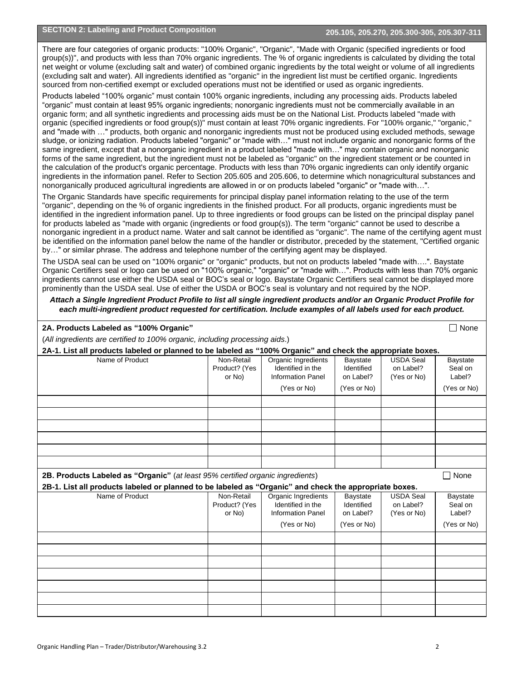There are four categories of organic products: "100% Organic", "Organic", "Made with Organic (specified ingredients or food group(s))", and products with less than 70% organic ingredients. The % of organic ingredients is calculated by dividing the total net weight or volume (excluding salt and water) of combined organic ingredients by the total weight or volume of all ingredients (excluding salt and water). All ingredients identified as "organic" in the ingredient list must be certified organic. Ingredients sourced from non-certified exempt or excluded operations must not be identified or used as organic ingredients.

Products labeled "100% organic" must contain 100% organic ingredients, including any processing aids. Products labeled "organic" must contain at least 95% organic ingredients; nonorganic ingredients must not be commercially available in an organic form; and all synthetic ingredients and processing aids must be on the National List. Products labeled "made with organic (specified ingredients or food group(s))" must contain at least 70% organic ingredients. For "100% organic," "organic," and "made with …" products, both organic and nonorganic ingredients must not be produced using excluded methods, sewage sludge, or ionizing radiation. Products labeled "organic" or "made with…" must not include organic and nonorganic forms of the same ingredient, except that a nonorganic ingredient in a product labeled "made with…" may contain organic and nonorganic forms of the same ingredient, but the ingredient must not be labeled as "organic" on the ingredient statement or be counted in the calculation of the product's organic percentage. Products with less than 70% organic ingredients can only identify organic ingredients in the information panel. Refer to Section 205.605 and 205.606, to determine which nonagricultural substances and nonorganically produced agricultural ingredients are allowed in or on products labeled "organic" or "made with…".

The Organic Standards have specific requirements for principal display panel information relating to the use of the term "organic", depending on the % of organic ingredients in the finished product. For all products, organic ingredients must be identified in the ingredient information panel. Up to three ingredients or food groups can be listed on the principal display panel for products labeled as "made with organic (ingredients or food group(s)). The term "organic" cannot be used to describe a nonorganic ingredient in a product name. Water and salt cannot be identified as "organic". The name of the certifying agent must be identified on the information panel below the name of the handler or distributor, preceded by the statement, "Certified organic by…" or similar phrase. The address and telephone number of the certifying agent may be displayed.

The USDA seal can be used on "100% organic" or "organic" products, but not on products labeled "made with….". Baystate Organic Certifiers seal or logo can be used on "100% organic," "organic" or "made with…". Products with less than 70% organic ingredients cannot use either the USDA seal or BOC's seal or logo. Baystate Organic Certifiers seal cannot be displayed more prominently than the USDA seal. Use of either the USDA or BOC's seal is voluntary and not required by the NOP.

*Attach a Single Ingredient Product Profile to list all single ingredient products and/or an Organic Product Profile for each multi-ingredient product requested for certification. Include examples of all labels used for each product.*

| 2A. Products Labeled as "100% Organic"                                                                      |                                                                                                                                                      |                                                                      |                                              |                                              |                               |
|-------------------------------------------------------------------------------------------------------------|------------------------------------------------------------------------------------------------------------------------------------------------------|----------------------------------------------------------------------|----------------------------------------------|----------------------------------------------|-------------------------------|
| (All ingredients are certified to 100% organic, including processing aids.)                                 |                                                                                                                                                      |                                                                      |                                              |                                              |                               |
| 2A-1. List all products labeled or planned to be labeled as "100% Organic" and check the appropriate boxes. |                                                                                                                                                      |                                                                      |                                              |                                              |                               |
| Name of Product                                                                                             | Non-Retail<br>Organic Ingredients<br>Baystate<br>Product? (Yes<br>Identified in the<br>Identified<br><b>Information Panel</b><br>on Label?<br>or No) |                                                                      | <b>USDA Seal</b><br>on Label?<br>(Yes or No) | Baystate<br>Seal on<br>Label?                |                               |
|                                                                                                             |                                                                                                                                                      | (Yes or No)                                                          | (Yes or No)                                  |                                              | (Yes or No)                   |
|                                                                                                             |                                                                                                                                                      |                                                                      |                                              |                                              |                               |
|                                                                                                             |                                                                                                                                                      |                                                                      |                                              |                                              |                               |
|                                                                                                             |                                                                                                                                                      |                                                                      |                                              |                                              |                               |
|                                                                                                             |                                                                                                                                                      |                                                                      |                                              |                                              |                               |
|                                                                                                             |                                                                                                                                                      |                                                                      |                                              |                                              |                               |
|                                                                                                             |                                                                                                                                                      |                                                                      |                                              |                                              |                               |
| 2B. Products Labeled as "Organic" (at least 95% certified organic ingredients)                              |                                                                                                                                                      |                                                                      |                                              |                                              | None                          |
| 2B-1. List all products labeled or planned to be labeled as "Organic" and check the appropriate boxes.      |                                                                                                                                                      |                                                                      |                                              |                                              |                               |
| Name of Product                                                                                             | Non-Retail<br>Product? (Yes<br>or No)                                                                                                                | Organic Ingredients<br>Identified in the<br><b>Information Panel</b> | <b>Baystate</b><br>Identified<br>on Label?   | <b>USDA Seal</b><br>on Label?<br>(Yes or No) | Baystate<br>Seal on<br>Label? |
|                                                                                                             |                                                                                                                                                      | (Yes or No)                                                          | (Yes or No)                                  |                                              | (Yes or No)                   |
|                                                                                                             |                                                                                                                                                      |                                                                      |                                              |                                              |                               |
|                                                                                                             |                                                                                                                                                      |                                                                      |                                              |                                              |                               |
|                                                                                                             |                                                                                                                                                      |                                                                      |                                              |                                              |                               |
|                                                                                                             |                                                                                                                                                      |                                                                      |                                              |                                              |                               |
|                                                                                                             |                                                                                                                                                      |                                                                      |                                              |                                              |                               |
|                                                                                                             |                                                                                                                                                      |                                                                      |                                              |                                              |                               |
|                                                                                                             |                                                                                                                                                      |                                                                      |                                              |                                              |                               |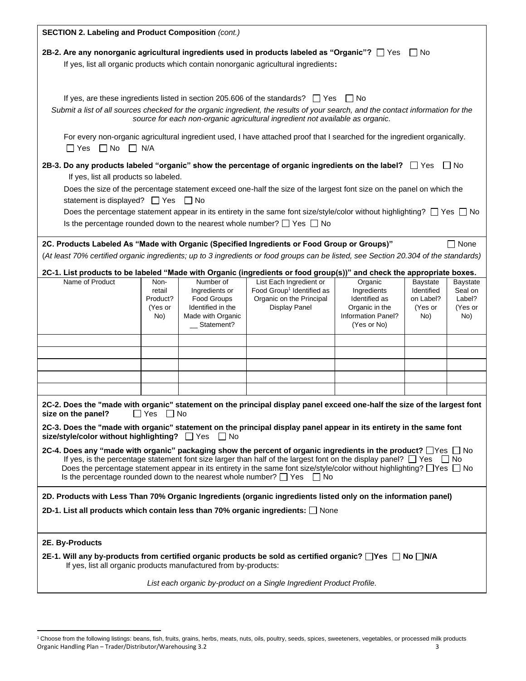| SECTION 2. Labeling and Product Composition (cont.)                                                                                                                                                                                                                                                                                                                                                                                                                                                                                                               |                                              |                                                                                                      |                                                                                                                      |                                                                                                |                                                       |                                                        |
|-------------------------------------------------------------------------------------------------------------------------------------------------------------------------------------------------------------------------------------------------------------------------------------------------------------------------------------------------------------------------------------------------------------------------------------------------------------------------------------------------------------------------------------------------------------------|----------------------------------------------|------------------------------------------------------------------------------------------------------|----------------------------------------------------------------------------------------------------------------------|------------------------------------------------------------------------------------------------|-------------------------------------------------------|--------------------------------------------------------|
| 2B-2. Are any nonorganic agricultural ingredients used in products labeled as "Organic"? $\Box$ Yes $\Box$ No<br>If yes, list all organic products which contain nonorganic agricultural ingredients:                                                                                                                                                                                                                                                                                                                                                             |                                              |                                                                                                      |                                                                                                                      |                                                                                                |                                                       |                                                        |
| If yes, are these ingredients listed in section 205.606 of the standards? $\Box$ Yes $\Box$ No<br>Submit a list of all sources checked for the organic ingredient, the results of your search, and the contact information for the<br>source for each non-organic agricultural ingredient not available as organic.                                                                                                                                                                                                                                               |                                              |                                                                                                      |                                                                                                                      |                                                                                                |                                                       |                                                        |
| For every non-organic agricultural ingredient used, I have attached proof that I searched for the ingredient organically.<br>$\Box$ Yes $\Box$ No $\Box$ N/A                                                                                                                                                                                                                                                                                                                                                                                                      |                                              |                                                                                                      |                                                                                                                      |                                                                                                |                                                       |                                                        |
| 2B-3. Do any products labeled "organic" show the percentage of organic ingredients on the label? $\Box$ Yes<br>$\Box$ No<br>If yes, list all products so labeled.<br>Does the size of the percentage statement exceed one-half the size of the largest font size on the panel on which the<br>statement is displayed? □ Yes<br>$\Box$ No<br>Does the percentage statement appear in its entirety in the same font size/style/color without highlighting? $\Box$ Yes $\Box$ No<br>Is the percentage rounded down to the nearest whole number? $\Box$ Yes $\Box$ No |                                              |                                                                                                      |                                                                                                                      |                                                                                                |                                                       |                                                        |
| 2C. Products Labeled As "Made with Organic (Specified Ingredients or Food Group or Groups)"<br>$\Box$ None<br>(At least 70% certified organic ingredients; up to 3 ingredients or food groups can be listed, see Section 20.304 of the standards)<br>2C-1. List products to be labeled "Made with Organic (ingredients or food group(s))" and check the appropriate boxes.                                                                                                                                                                                        |                                              |                                                                                                      |                                                                                                                      |                                                                                                |                                                       |                                                        |
| Name of Product                                                                                                                                                                                                                                                                                                                                                                                                                                                                                                                                                   | Non-<br>retail<br>Product?<br>(Yes or<br>No) | Number of<br>Ingredients or<br>Food Groups<br>Identified in the<br>Made with Organic<br>_ Statement? | List Each Ingredient or<br>Food Group <sup>1</sup> Identified as<br>Organic on the Principal<br><b>Display Panel</b> | Organic<br>Ingredients<br>Identified as<br>Organic in the<br>Information Panel?<br>(Yes or No) | Baystate<br>Identified<br>on Label?<br>(Yes or<br>No) | <b>Baystate</b><br>Seal on<br>Label?<br>(Yes or<br>No) |
|                                                                                                                                                                                                                                                                                                                                                                                                                                                                                                                                                                   |                                              |                                                                                                      |                                                                                                                      |                                                                                                |                                                       |                                                        |
|                                                                                                                                                                                                                                                                                                                                                                                                                                                                                                                                                                   |                                              |                                                                                                      |                                                                                                                      |                                                                                                |                                                       |                                                        |
| 2C-2. Does the "made with organic" statement on the principal display panel exceed one-half the size of the largest font<br>$\Box$ Yes $\Box$ No<br>size on the panel?                                                                                                                                                                                                                                                                                                                                                                                            |                                              |                                                                                                      |                                                                                                                      |                                                                                                |                                                       |                                                        |
| 2C-3. Does the "made with organic" statement on the principal display panel appear in its entirety in the same font<br>size/style/color without highlighting? □ Yes □ No                                                                                                                                                                                                                                                                                                                                                                                          |                                              |                                                                                                      |                                                                                                                      |                                                                                                |                                                       |                                                        |
| 2C-4. Does any "made with organic" packaging show the percent of organic ingredients in the product? $\Box$ Yes $\Box$ No<br>If yes, is the percentage statement font size larger than half of the largest font on the display panel? $\Box$ Yes<br>l I No<br>Does the percentage statement appear in its entirety in the same font size/style/color without highlighting? $\Box$ Yes $\Box$ No<br>Is the percentage rounded down to the nearest whole number? $\Box$ Yes $\Box$ No                                                                               |                                              |                                                                                                      |                                                                                                                      |                                                                                                |                                                       |                                                        |
| 2D. Products with Less Than 70% Organic Ingredients (organic ingredients listed only on the information panel)                                                                                                                                                                                                                                                                                                                                                                                                                                                    |                                              |                                                                                                      |                                                                                                                      |                                                                                                |                                                       |                                                        |
| 2D-1. List all products which contain less than 70% organic ingredients: $\Box$ None                                                                                                                                                                                                                                                                                                                                                                                                                                                                              |                                              |                                                                                                      |                                                                                                                      |                                                                                                |                                                       |                                                        |
| 2E. By-Products                                                                                                                                                                                                                                                                                                                                                                                                                                                                                                                                                   |                                              |                                                                                                      |                                                                                                                      |                                                                                                |                                                       |                                                        |
| 2E-1. Will any by-products from certified organic products be sold as certified organic? $\Box$ Yes $\Box$ No $\Box$ N/A<br>If yes, list all organic products manufactured from by-products:                                                                                                                                                                                                                                                                                                                                                                      |                                              |                                                                                                      |                                                                                                                      |                                                                                                |                                                       |                                                        |
|                                                                                                                                                                                                                                                                                                                                                                                                                                                                                                                                                                   |                                              |                                                                                                      | List each organic by-product on a Single Ingredient Product Profile.                                                 |                                                                                                |                                                       |                                                        |

Organic Handling Plan – Trader/Distributor/Warehousing 3.2 3 <sup>1</sup> Choose from the following listings: beans, fish, fruits, grains, herbs, meats, nuts, oils, poultry, seeds, spices, sweeteners, vegetables, or processed milk products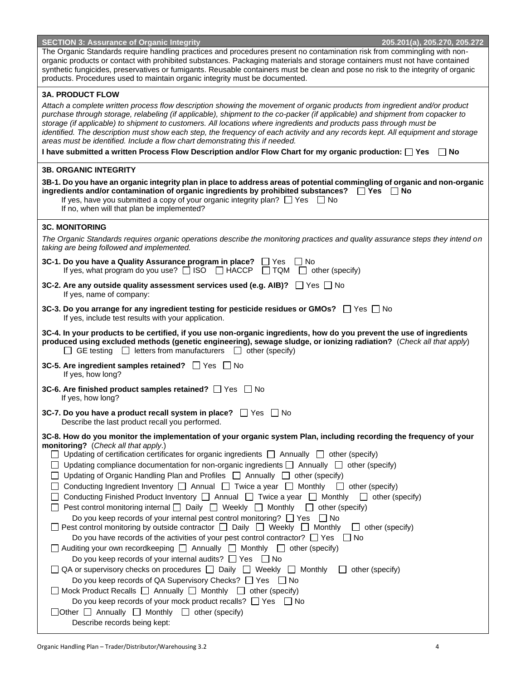| <b>SECTION 3: Assurance of Organic Integrity</b><br>205.201(a), 205.270, 205.272<br>The Organic Standards require handling practices and procedures present no contamination risk from commingling with non-<br>organic products or contact with prohibited substances. Packaging materials and storage containers must not have contained<br>synthetic fungicides, preservatives or fumigants. Reusable containers must be clean and pose no risk to the integrity of organic<br>products. Procedures used to maintain organic integrity must be documented.                                                                                                                                                                                                                                                                                                                                                                                                                                                                                                                                                                                                                                                                                                                                                                                                                                                                                                                                                                                                                                                                                                                                                                                                                     |
|-----------------------------------------------------------------------------------------------------------------------------------------------------------------------------------------------------------------------------------------------------------------------------------------------------------------------------------------------------------------------------------------------------------------------------------------------------------------------------------------------------------------------------------------------------------------------------------------------------------------------------------------------------------------------------------------------------------------------------------------------------------------------------------------------------------------------------------------------------------------------------------------------------------------------------------------------------------------------------------------------------------------------------------------------------------------------------------------------------------------------------------------------------------------------------------------------------------------------------------------------------------------------------------------------------------------------------------------------------------------------------------------------------------------------------------------------------------------------------------------------------------------------------------------------------------------------------------------------------------------------------------------------------------------------------------------------------------------------------------------------------------------------------------|
| <b>3A. PRODUCT FLOW</b>                                                                                                                                                                                                                                                                                                                                                                                                                                                                                                                                                                                                                                                                                                                                                                                                                                                                                                                                                                                                                                                                                                                                                                                                                                                                                                                                                                                                                                                                                                                                                                                                                                                                                                                                                           |
| Attach a complete written process flow description showing the movement of organic products from ingredient and/or product<br>purchase through storage, relabeling (if applicable), shipment to the co-packer (if applicable) and shipment from copacker to<br>storage (if applicable) to shipment to customers. All locations where ingredients and products pass through must be<br>identified. The description must show each step, the frequency of each activity and any records kept. All equipment and storage<br>areas must be identified. Include a flow chart demonstrating this if needed.<br>I have submitted a written Process Flow Description and/or Flow Chart for my organic production: $\Box$ Yes<br>$\Box$ No                                                                                                                                                                                                                                                                                                                                                                                                                                                                                                                                                                                                                                                                                                                                                                                                                                                                                                                                                                                                                                                 |
| <b>3B. ORGANIC INTEGRITY</b>                                                                                                                                                                                                                                                                                                                                                                                                                                                                                                                                                                                                                                                                                                                                                                                                                                                                                                                                                                                                                                                                                                                                                                                                                                                                                                                                                                                                                                                                                                                                                                                                                                                                                                                                                      |
| 3B-1. Do you have an organic integrity plan in place to address areas of potential commingling of organic and non-organic<br>ingredients and/or contamination of organic ingredients by prohibited substances? $\Box$ Yes $\Box$ No<br>If yes, have you submitted a copy of your organic integrity plan? $\Box$ Yes $\Box$ No<br>If no, when will that plan be implemented?                                                                                                                                                                                                                                                                                                                                                                                                                                                                                                                                                                                                                                                                                                                                                                                                                                                                                                                                                                                                                                                                                                                                                                                                                                                                                                                                                                                                       |
| <b>3C. MONITORING</b>                                                                                                                                                                                                                                                                                                                                                                                                                                                                                                                                                                                                                                                                                                                                                                                                                                                                                                                                                                                                                                                                                                                                                                                                                                                                                                                                                                                                                                                                                                                                                                                                                                                                                                                                                             |
| The Organic Standards requires organic operations describe the monitoring practices and quality assurance steps they intend on<br>taking are being followed and implemented.                                                                                                                                                                                                                                                                                                                                                                                                                                                                                                                                                                                                                                                                                                                                                                                                                                                                                                                                                                                                                                                                                                                                                                                                                                                                                                                                                                                                                                                                                                                                                                                                      |
| 3C-1. Do you have a Quality Assurance program in place? □ Yes<br>l INo<br>If yes, what program do you use? $\Box$ ISO $\Box$ HACCP $\Box$ TQM $\Box$ other (specify)                                                                                                                                                                                                                                                                                                                                                                                                                                                                                                                                                                                                                                                                                                                                                                                                                                                                                                                                                                                                                                                                                                                                                                                                                                                                                                                                                                                                                                                                                                                                                                                                              |
| 3C-2. Are any outside quality assessment services used (e.g. AIB)? $\Box$ Yes $\Box$ No<br>If yes, name of company:                                                                                                                                                                                                                                                                                                                                                                                                                                                                                                                                                                                                                                                                                                                                                                                                                                                                                                                                                                                                                                                                                                                                                                                                                                                                                                                                                                                                                                                                                                                                                                                                                                                               |
| 3C-3. Do you arrange for any ingredient testing for pesticide residues or GMOs? $\Box$ Yes $\Box$ No<br>If yes, include test results with your application.                                                                                                                                                                                                                                                                                                                                                                                                                                                                                                                                                                                                                                                                                                                                                                                                                                                                                                                                                                                                                                                                                                                                                                                                                                                                                                                                                                                                                                                                                                                                                                                                                       |
| 3C-4. In your products to be certified, if you use non-organic ingredients, how do you prevent the use of ingredients<br>produced using excluded methods (genetic engineering), sewage sludge, or ionizing radiation? (Check all that apply)<br>$\Box$ GE testing $\Box$ letters from manufacturers $\Box$ other (specify)                                                                                                                                                                                                                                                                                                                                                                                                                                                                                                                                                                                                                                                                                                                                                                                                                                                                                                                                                                                                                                                                                                                                                                                                                                                                                                                                                                                                                                                        |
| 3C-5. Are ingredient samples retained? □ Yes □ No<br>If yes, how long?                                                                                                                                                                                                                                                                                                                                                                                                                                                                                                                                                                                                                                                                                                                                                                                                                                                                                                                                                                                                                                                                                                                                                                                                                                                                                                                                                                                                                                                                                                                                                                                                                                                                                                            |
| 3C-6. Are finished product samples retained? $\Box$ Yes $\Box$ No<br>If yes, how long?                                                                                                                                                                                                                                                                                                                                                                                                                                                                                                                                                                                                                                                                                                                                                                                                                                                                                                                                                                                                                                                                                                                                                                                                                                                                                                                                                                                                                                                                                                                                                                                                                                                                                            |
| 3C-7. Do you have a product recall system in place? □ Yes □ No<br>Describe the last product recall you performed.                                                                                                                                                                                                                                                                                                                                                                                                                                                                                                                                                                                                                                                                                                                                                                                                                                                                                                                                                                                                                                                                                                                                                                                                                                                                                                                                                                                                                                                                                                                                                                                                                                                                 |
| 3C-8. How do you monitor the implementation of your organic system Plan, including recording the frequency of your<br>monitoring? (Check all that apply.)<br>$\Box$ Updating of certification certificates for organic ingredients $\Box$ Annually $\Box$ other (specify)<br>$\Box$ Updating compliance documentation for non-organic ingredients $\Box$ Annually $\Box$ other (specify)<br>$\Box$ Updating of Organic Handling Plan and Profiles $\Box$ Annually $\Box$ other (specify)<br>Conducting Ingredient Inventory $\Box$ Annual $\Box$ Twice a year $\Box$ Monthly $\Box$ other (specify)<br>$\perp$<br>Conducting Finished Product Inventory $\Box$ Annual $\Box$ Twice a year $\Box$ Monthly $\Box$ other (specify)<br>Pest control monitoring internal $\Box$ Daily $\Box$ Weekly $\Box$ Monthly $\Box$<br>other (specify)<br>Do you keep records of your internal pest control monitoring? □ Yes<br>$\Box$ No<br>$\Box$ Pest control monitoring by outside contractor $\Box$ Daily $\Box$ Weekly $\Box$ Monthly<br>$\Box$ other (specify)<br>Do you have records of the activities of your pest control contractor? $\Box$ Yes $\Box$ No<br>$\Box$ Auditing your own recordkeeping $\Box$ Annually $\Box$ Monthly $\Box$ other (specify)<br>Do you keep records of your internal audits? $\Box$ Yes $\Box$ No<br>$\Box$ QA or supervisory checks on procedures $\Box$ Daily $\Box$ Weekly $\Box$ Monthly<br>$\Box$ other (specify)<br>Do you keep records of QA Supervisory Checks? □ Yes □ No<br>$\Box$ Mock Product Recalls $\Box$ Annually $\Box$ Monthly $\Box$ other (specify)<br>Do you keep records of your mock product recalls? $\Box$ Yes $\Box$ No<br>$\Box$ Other $\Box$ Annually $\Box$ Monthly $\Box$ other (specify)<br>Describe records being kept: |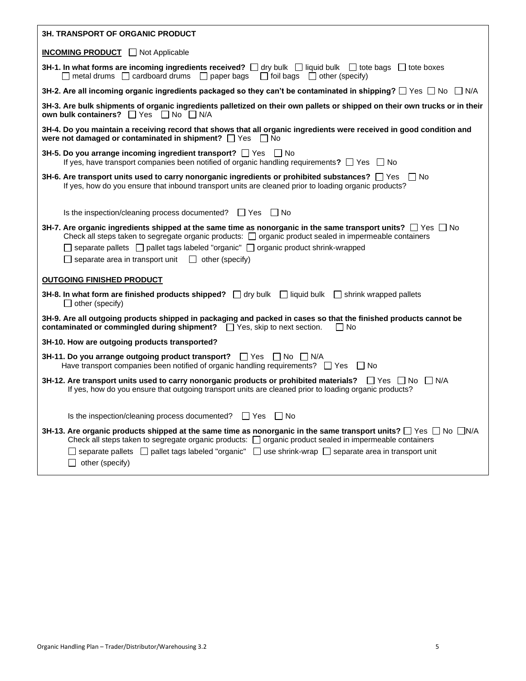| <b>3H. TRANSPORT OF ORGANIC PRODUCT</b>                                                                                                                                                                                                                                                                                                                                                                 |
|---------------------------------------------------------------------------------------------------------------------------------------------------------------------------------------------------------------------------------------------------------------------------------------------------------------------------------------------------------------------------------------------------------|
| <b>INCOMING PRODUCT</b> □ Not Applicable                                                                                                                                                                                                                                                                                                                                                                |
| 3H-1. In what forms are incoming ingredients received? [ ] dry bulk [ ] liquid bulk [ ] tote bags [ ] tote boxes<br>$\Box$ metal drums $\Box$ cardboard drums $\Box$ paper bags $\Box$ foil bags $\Box$ other (specify)                                                                                                                                                                                 |
| 3H-2. Are all incoming organic ingredients packaged so they can't be contaminated in shipping? $\square$ Yes $\square$ No $\square$ N/A                                                                                                                                                                                                                                                                 |
| 3H-3. Are bulk shipments of organic ingredients palletized on their own pallets or shipped on their own trucks or in their<br>own bulk containers? □ Yes □ No □ N/A                                                                                                                                                                                                                                     |
| 3H-4. Do you maintain a receiving record that shows that all organic ingredients were received in good condition and<br>were not damaged or contaminated in shipment? □ Yes □ No                                                                                                                                                                                                                        |
| 3H-5. Do you arrange incoming ingredient transport? □ Yes □ No<br>If yes, have transport companies been notified of organic handling requirements? $\Box$ Yes $\Box$ No                                                                                                                                                                                                                                 |
| 3H-6. Are transport units used to carry nonorganic ingredients or prohibited substances? $\Box$ Yes<br>l INo<br>If yes, how do you ensure that inbound transport units are cleaned prior to loading organic products?                                                                                                                                                                                   |
| Is the inspection/cleaning process documented? $\Box$ Yes<br>l I No                                                                                                                                                                                                                                                                                                                                     |
| 3H-7. Are organic ingredients shipped at the same time as nonorganic in the same transport units? $\Box$ Yes $\Box$ No<br>Check all steps taken to segregate organic products: [ ] organic product sealed in impermeable containers<br>□ separate pallets □ pallet tags labeled "organic" □ organic product shrink-wrapped<br>$\Box$ separate area in transport unit $\Box$ other (specify)             |
| <b>OUTGOING FINISHED PRODUCT</b>                                                                                                                                                                                                                                                                                                                                                                        |
| 3H-8. In what form are finished products shipped? $\Box$ dry bulk $\Box$ liquid bulk $\Box$ shrink wrapped pallets<br>$\Box$ other (specify)                                                                                                                                                                                                                                                            |
| 3H-9. Are all outgoing products shipped in packaging and packed in cases so that the finished products cannot be<br>contaminated or commingled during shipment? $\Box$ Yes, skip to next section.<br>$\Box$ No                                                                                                                                                                                          |
| 3H-10. How are outgoing products transported?                                                                                                                                                                                                                                                                                                                                                           |
| 3H-11. Do you arrange outgoing product transport? □ Yes □ No □ N/A<br>Have transport companies been notified of organic handling requirements? $\Box$ Yes $\Box$ No                                                                                                                                                                                                                                     |
| 3H-12. Are transport units used to carry nonorganic products or prohibited materials? $\Box$ Yes $\Box$ No $\Box$ N/A<br>If yes, how do you ensure that outgoing transport units are cleaned prior to loading organic products?                                                                                                                                                                         |
| Is the inspection/cleaning process documented? $\Box$ Yes<br>l INo                                                                                                                                                                                                                                                                                                                                      |
| 3H-13. Are organic products shipped at the same time as nonorganic in the same transport units? $\Box$ Yes $\Box$ No $\Box$ N/A<br>Check all steps taken to segregate organic products: $\Box$ organic product sealed in impermeable containers<br>$\Box$ separate pallets $\Box$ pallet tags labeled "organic" $\Box$ use shrink-wrap $\Box$ separate area in transport unit<br>$\Box$ other (specify) |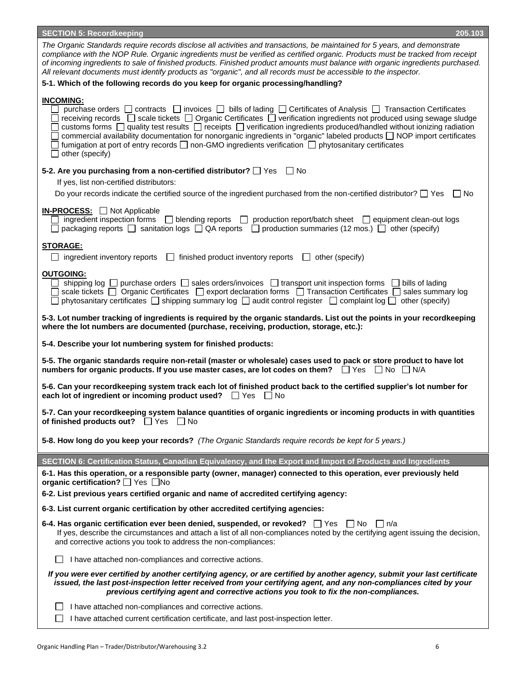| <b>SECTION 5: Recordkeeping</b><br>205.103                                                                                                                                                                                                                                                                                                                                                                                                                                                                                                                                                                                                                                                                |  |  |  |  |  |
|-----------------------------------------------------------------------------------------------------------------------------------------------------------------------------------------------------------------------------------------------------------------------------------------------------------------------------------------------------------------------------------------------------------------------------------------------------------------------------------------------------------------------------------------------------------------------------------------------------------------------------------------------------------------------------------------------------------|--|--|--|--|--|
| The Organic Standards require records disclose all activities and transactions, be maintained for 5 years, and demonstrate<br>compliance with the NOP Rule. Organic ingredients must be verified as certified organic. Products must be tracked from receipt<br>of incoming ingredients to sale of finished products. Finished product amounts must balance with organic ingredients purchased.<br>All relevant documents must identify products as "organic", and all records must be accessible to the inspector.<br>5-1. Which of the following records do you keep for organic processing/handling?                                                                                                   |  |  |  |  |  |
|                                                                                                                                                                                                                                                                                                                                                                                                                                                                                                                                                                                                                                                                                                           |  |  |  |  |  |
| <b>INCOMING:</b><br>purchase orders $\Box$ contracts $\Box$ invoices $\Box$ bills of lading $\Box$ Certificates of Analysis $\Box$ Transaction Certificates<br>receiving records □ scale tickets □ Organic Certificates □ verification ingredients not produced using sewage sludge<br>customs forms $\Box$ quality test results $\Box$ receipts $\Box$ verification ingredients produced/handled without ionizing radiation<br>commercial availability documentation for nonorganic ingredients in "organic" labeled products □ NOP import certificates<br>fumigation at port of entry records $\square$ non-GMO ingredients verification $\square$ phytosanitary certificates<br>$\Box$ other (specify) |  |  |  |  |  |
| 5-2. Are you purchasing from a non-certified distributor? $\Box$ Yes $\Box$ No                                                                                                                                                                                                                                                                                                                                                                                                                                                                                                                                                                                                                            |  |  |  |  |  |
| If yes, list non-certified distributors:                                                                                                                                                                                                                                                                                                                                                                                                                                                                                                                                                                                                                                                                  |  |  |  |  |  |
| Do your records indicate the certified source of the ingredient purchased from the non-certified distributor? $\Box$ Yes $\Box$ No                                                                                                                                                                                                                                                                                                                                                                                                                                                                                                                                                                        |  |  |  |  |  |
|                                                                                                                                                                                                                                                                                                                                                                                                                                                                                                                                                                                                                                                                                                           |  |  |  |  |  |
| <b>IN-PROCESS:</b> Not Applicable<br>ingredient inspection forms $\Box$ blending reports $\Box$ production report/batch sheet $\Box$ equipment clean-out logs<br>packaging reports $\Box$ sanitation logs $\Box$ QA reports $\Box$ production summaries (12 mos.) $\Box$ other (specify)                                                                                                                                                                                                                                                                                                                                                                                                                  |  |  |  |  |  |
| <b>STORAGE:</b>                                                                                                                                                                                                                                                                                                                                                                                                                                                                                                                                                                                                                                                                                           |  |  |  |  |  |
| $\Box$ ingredient inventory reports<br>$\Box$ finished product inventory reports $\Box$ other (specify)                                                                                                                                                                                                                                                                                                                                                                                                                                                                                                                                                                                                   |  |  |  |  |  |
|                                                                                                                                                                                                                                                                                                                                                                                                                                                                                                                                                                                                                                                                                                           |  |  |  |  |  |
| <b>OUTGOING:</b><br>shipping log<br>$\Box$ purchase orders $\Box$ sales orders/invoices $\Box$ transport unit inspection forms $\Box$ bills of lading<br>scale tickets $\Box$ Organic Certificates $\Box$ export declaration forms $\Box$ Transaction Certificates $\Box$ sales summary log<br>phytosanitary certificates $\Box$ shipping summary log $\Box$ audit control register $\Box$ complaint log $\Box$ other (specify)                                                                                                                                                                                                                                                                           |  |  |  |  |  |
| 5-3. Lot number tracking of ingredients is required by the organic standards. List out the points in your recordkeeping<br>where the lot numbers are documented (purchase, receiving, production, storage, etc.):                                                                                                                                                                                                                                                                                                                                                                                                                                                                                         |  |  |  |  |  |
| 5-4. Describe your lot numbering system for finished products:                                                                                                                                                                                                                                                                                                                                                                                                                                                                                                                                                                                                                                            |  |  |  |  |  |
| 5-5. The organic standards require non-retail (master or wholesale) cases used to pack or store product to have lot<br>numbers for organic products. If you use master cases, are lot codes on them? $\Box$ Yes $\Box$ No $\Box$ N/A                                                                                                                                                                                                                                                                                                                                                                                                                                                                      |  |  |  |  |  |
| 5-6. Can your recordkeeping system track each lot of finished product back to the certified supplier's lot number for<br>each lot of ingredient or incoming product used? $\Box$ Yes $\Box$ No                                                                                                                                                                                                                                                                                                                                                                                                                                                                                                            |  |  |  |  |  |
| 5-7. Can your recordkeeping system balance quantities of organic ingredients or incoming products in with quantities<br>of finished products out? $\Box$ Yes $\Box$ No                                                                                                                                                                                                                                                                                                                                                                                                                                                                                                                                    |  |  |  |  |  |
| 5-8. How long do you keep your records? (The Organic Standards require records be kept for 5 years.)                                                                                                                                                                                                                                                                                                                                                                                                                                                                                                                                                                                                      |  |  |  |  |  |
| SECTION 6: Certification Status, Canadian Equivalency, and the Export and Import of Products and Ingredients                                                                                                                                                                                                                                                                                                                                                                                                                                                                                                                                                                                              |  |  |  |  |  |
| 6-1. Has this operation, or a responsible party (owner, manager) connected to this operation, ever previously held<br>organic certification? $\Box$ Yes $\Box$ No<br>6-2. List previous years certified organic and name of accredited certifying agency:                                                                                                                                                                                                                                                                                                                                                                                                                                                 |  |  |  |  |  |
| 6-3. List current organic certification by other accredited certifying agencies:                                                                                                                                                                                                                                                                                                                                                                                                                                                                                                                                                                                                                          |  |  |  |  |  |
|                                                                                                                                                                                                                                                                                                                                                                                                                                                                                                                                                                                                                                                                                                           |  |  |  |  |  |
| 6-4. Has organic certification ever been denied, suspended, or revoked? $\Box$ Yes $\Box$ No $\Box$ n/a<br>If yes, describe the circumstances and attach a list of all non-compliances noted by the certifying agent issuing the decision,<br>and corrective actions you took to address the non-compliances:                                                                                                                                                                                                                                                                                                                                                                                             |  |  |  |  |  |
| I have attached non-compliances and corrective actions.                                                                                                                                                                                                                                                                                                                                                                                                                                                                                                                                                                                                                                                   |  |  |  |  |  |
| If you were ever certified by another certifying agency, or are certified by another agency, submit your last certificate<br>issued, the last post-inspection letter received from your certifying agent, and any non-compliances cited by your<br>previous certifying agent and corrective actions you took to fix the non-compliances.                                                                                                                                                                                                                                                                                                                                                                  |  |  |  |  |  |
| I have attached non-compliances and corrective actions.                                                                                                                                                                                                                                                                                                                                                                                                                                                                                                                                                                                                                                                   |  |  |  |  |  |
| I have attached current certification certificate, and last post-inspection letter.                                                                                                                                                                                                                                                                                                                                                                                                                                                                                                                                                                                                                       |  |  |  |  |  |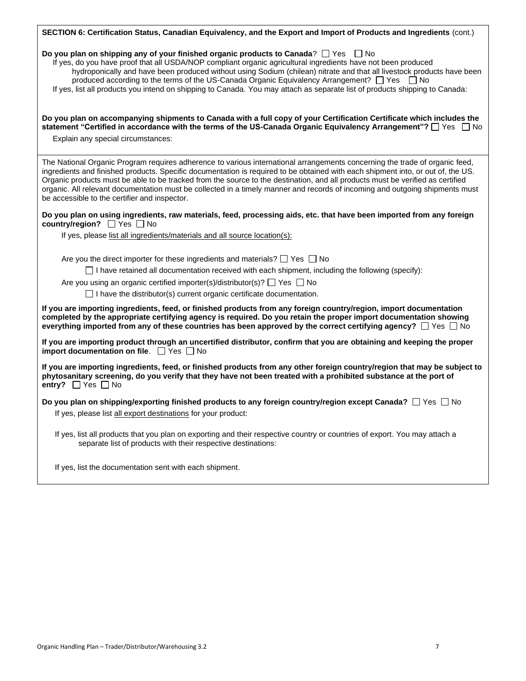## **SECTION 6: Certification Status, Canadian Equivalency, and the Export and Import of Products and Ingredients** (cont.)

**Do you plan on shipping any of your finished organic products to Canada**?  $\Box$  Yes  $\Box$  No

 If yes, do you have proof that all USDA/NOP compliant organic agricultural ingredients have not been produced hydroponically and have been produced without using Sodium (chilean) nitrate and that all livestock products have been produced according to the terms of the US-Canada Organic Equivalency Arrangement?  $\Box$  Yes  $\Box$  No

If yes, list all products you intend on shipping to Canada. You may attach as separate list of products shipping to Canada:

**Do you plan on accompanying shipments to Canada with a full copy of your Certification Certificate which includes the statement "Certified in accordance with the terms of the US-Canada Organic Equivalency Arrangement"?**  $\Box$  Yes  $\Box$  No

**Explain any special circumstances:** 

The National Organic Program requires adherence to various international arrangements concerning the trade of organic feed, ingredients and finished products. Specific documentation is required to be obtained with each shipment into, or out of, the US. Organic products must be able to be tracked from the source to the destination, and all products must be verified as certified organic. All relevant documentation must be collected in a timely manner and records of incoming and outgoing shipments must be accessible to the certifier and inspector.

### **Do you plan on using ingredients, raw materials, feed, processing aids, etc. that have been imported from any foreign country/region?** ■ Yes ■ No

If yes, please list all ingredients/materials and all source location(s):

Are you the direct importer for these ingredients and materials?  $\Box$  Yes  $\Box$  No

 $\Box$  I have retained all documentation received with each shipment, including the following (specify):

Are you using an organic certified importer(s)/distributor(s)?  $\Box$  Yes  $\Box$  No

 $\Box$  I have the distributor(s) current organic certificate documentation.

**If you are importing ingredients, feed, or finished products from any foreign country/region, import documentation completed by the appropriate certifying agency is required. Do you retain the proper import documentation showing everything imported from any of these countries has been approved by the correct certifying agency?**  $\Box$  Yes  $\Box$  No

**If you are importing product through an uncertified distributor, confirm that you are obtaining and keeping the proper import documentation on file.** Thes No

**If you are importing ingredients, feed, or finished products from any other foreign country/region that may be subject to phytosanitary screening, do you verify that they have not been treated with a prohibited substance at the port of entry?**  $\Box$  Yes  $\Box$  No

Do you plan on shipping/exporting finished products to any foreign country/region except Canada?  $\Box$  Yes  $\Box$  No

If yes, please list all export destinations for your product:

 If yes, list all products that you plan on exporting and their respective country or countries of export. You may attach a separate list of products with their respective destinations:

If yes, list the documentation sent with each shipment.